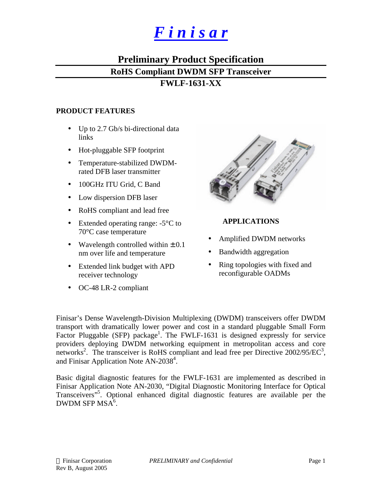# *F i n i s a r*

# **Preliminary Product Specification RoHS Compliant DWDM SFP Transceiver**

# **FWLF-1631-XX**

#### **PRODUCT FEATURES**

- Up to 2.7 Gb/s bi-directional data links
- Hot-pluggable SFP footprint
- Temperature-stabilized DWDMrated DFB laser transmitter
- 100GHz ITU Grid, C Band
- Low dispersion DFB laser
- RoHS compliant and lead free
- Extended operating range:  $-5^{\circ}$ C to 70°C case temperature
- Wavelength controlled within  $\pm 0.1$ nm over life and temperature
- Extended link budget with APD receiver technology
- OC-48 LR-2 compliant



# **APPLICATIONS**

- Amplified DWDM networks
- Bandwidth aggregation
- Ring topologies with fixed and reconfigurable OADMs

Finisar's Dense Wavelength-Division Multiplexing (DWDM) transceivers offer DWDM transport with dramatically lower power and cost in a standard pluggable Small Form Factor Pluggable (SFP) package<sup>1</sup>. The FWLF-1631 is designed expressly for service providers deploying DWDM networking equipment in metropolitan access and core networks<sup>2</sup>. The transceiver is RoHS compliant and lead free per Directive  $2002/95/EC^3$ , and Finisar Application Note  $AN-2038<sup>4</sup>$ .

Basic digital diagnostic features for the FWLF-1631 are implemented as described in Finisar Application Note AN-2030, "Digital Diagnostic Monitoring Interface for Optical Transceivers"<sup>5</sup> . Optional enhanced digital diagnostic features are available per the DWDM SFP  $MSA^6$ .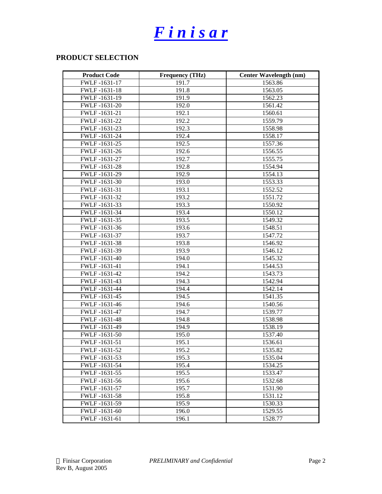# *F i n i s a r*

# **PRODUCT SELECTION**

| <b>Product Code</b> | <b>Frequency (THz)</b> | <b>Center Wavelength (nm)</b> |
|---------------------|------------------------|-------------------------------|
| FWLF-1631-17        | 191.7                  | 1563.86                       |
| FWLF-1631-18        | 191.8                  | 1563.05                       |
| FWLF-1631-19        | 191.9                  | 1562.23                       |
| FWLF-1631-20        | 192.0                  | 1561.42                       |
| FWLF-1631-21        | 192.1                  | 1560.61                       |
| FWLF-1631-22        | 192.2                  | 1559.79                       |
| FWLF-1631-23        | 192.3                  | 1558.98                       |
| FWLF-1631-24        | 192.4                  | 1558.17                       |
| FWLF-1631-25        | 192.5                  | 1557.36                       |
| FWLF-1631-26        | 192.6                  | 1556.55                       |
| FWLF-1631-27        | 192.7                  | 1555.75                       |
| FWLF-1631-28        | 192.8                  | 1554.94                       |
| FWLF-1631-29        | 192.9                  | 1554.13                       |
| FWLF-1631-30        | 193.0                  | 1553.33                       |
| FWLF-1631-31        | 193.1                  | 1552.52                       |
| FWLF-1631-32        | 193.2                  | 1551.72                       |
| FWLF-1631-33        | 193.3                  | 1550.92                       |
| FWLF-1631-34        | 193.4                  | 1550.12                       |
| FWLF-1631-35        | 193.5                  | 1549.32                       |
| FWLF-1631-36        | 193.6                  | 1548.51                       |
| FWLF-1631-37        | 193.7                  | 1547.72                       |
| FWLF-1631-38        | 193.8                  | 1546.92                       |
| FWLF-1631-39        | 193.9                  | 1546.12                       |
| FWLF-1631-40        | 194.0                  | 1545.32                       |
| FWLF-1631-41        | 194.1                  | 1544.53                       |
| FWLF-1631-42        | 194.2                  | 1543.73                       |
| FWLF-1631-43        | 194.3                  | 1542.94                       |
| FWLF-1631-44        | 194.4                  | 1542.14                       |
| FWLF-1631-45        | 194.5                  | 1541.35                       |
| FWLF-1631-46        | 194.6                  | 1540.56                       |
| FWLF-1631-47        | 194.7                  | 1539.77                       |
| FWLF-1631-48        | 194.8                  | 1538.98                       |
| FWLF-1631-49        | 194.9                  | 1538.19                       |
| FWLF-1631-50        | 195.0                  | 1537.40                       |
| FWLF-1631-51        | 195.1                  | 1536.61                       |
| FWLF-1631-52        | 195.2                  | 1535.82                       |
| FWLF-1631-53        | 195.3                  | 1535.04                       |
| FWLF-1631-54        | 195.4                  | 1534.25                       |
| FWLF-1631-55        | 195.5                  | 1533.47                       |
| FWLF-1631-56        | 195.6                  | 1532.68                       |
| FWLF-1631-57        | 195.7                  | 1531.90                       |
| FWLF-1631-58        | 195.8                  | 1531.12                       |
| FWLF -1631-59       | 195.9                  | 1530.33                       |
| FWLF-1631-60        | 196.0                  | 1529.55                       |
| FWLF-1631-61        | 196.1                  | 1528.77                       |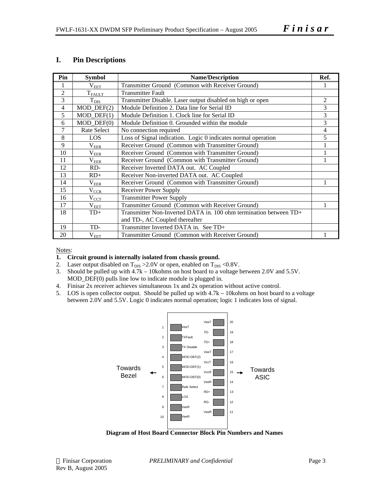#### **I. Pin Descriptions**

| Pin            | <b>Symbol</b>               | <b>Name/Description</b>                                             | Ref.           |
|----------------|-----------------------------|---------------------------------------------------------------------|----------------|
|                | $\rm V_{EET}$               | Transmitter Ground (Common with Receiver Ground)                    |                |
| $\overline{2}$ | $T_{FAULT}$                 | <b>Transmitter Fault</b>                                            |                |
| 3              | $T_{\rm DIS}$               | Transmitter Disable. Laser output disabled on high or open          | $\overline{c}$ |
| $\overline{4}$ | $MOD_$ DEF(2)               | Module Definition 2. Data line for Serial ID                        | 3              |
| 5              | $MOD_$ <del>DEF</del> $(1)$ | Module Definition 1. Clock line for Serial ID                       | 3              |
| 6              | $MOD_$ DEF $(0)$            | Module Definition 0. Grounded within the module                     | 3              |
| 7              | Rate Select                 | No connection required                                              | 4              |
| 8              | <b>LOS</b>                  | Loss of Signal indication. Logic 0 indicates normal operation       | 5              |
| 9              | $\rm V_{\rm EER}$           | Receiver Ground (Common with Transmitter Ground)                    |                |
| 10             | $\rm V_{EER}$               | Receiver Ground (Common with Transmitter Ground)                    |                |
| 11             | $\rm V_{EER}$               | Receiver Ground (Common with Transmitter Ground)                    |                |
| 12             | $RD-$                       | Receiver Inverted DATA out. AC Coupled                              |                |
| 13             | $RD+$                       | Receiver Non-inverted DATA out. AC Coupled                          |                |
| 14             | $\rm V_{EER}$               | Receiver Ground (Common with Transmitter Ground)                    |                |
| 15             | $V_{\underline{CCR}}$       | <b>Receiver Power Supply</b>                                        |                |
| 16             | $V_{CCT}$                   | <b>Transmitter Power Supply</b>                                     |                |
| 17             | $\rm V_{EET}$               | Transmitter Ground (Common with Receiver Ground)                    |                |
| 18             | $TD+$                       | Transmitter Non-Inverted DATA in. 100 ohm termination between $TD+$ |                |
|                |                             | and TD-, AC Coupled thereafter                                      |                |
| 19             | TD-                         | Transmitter Inverted DATA in. See TD+                               |                |
| 20             | $\rm V_{EET}$               | Transmitter Ground (Common with Receiver Ground)                    |                |

#### Notes:

#### **1. Circuit ground is internally isolated from chassis ground.**

- 2. Laser output disabled on  $T_{DIS} > 2.0V$  or open, enabled on  $T_{DIS} < 0.8V$ .
- 3. Should be pulled up with 4.7k 10kohms on host board to a voltage between 2.0V and 5.5V. MOD\_DEF(0) pulls line low to indicate module is plugged in.
- 4. Finisar 2x receiver achieves simultaneous 1x and 2x operation without active control.
- 5. LOS is open collector output. Should be pulled up with 4.7k 10kohms on host board to a voltage between 2.0V and 5.5V. Logic 0 indicates normal operation; logic 1 indicates loss of signal.



**Diagram of Host Board Connector Block Pin Numbers and Names**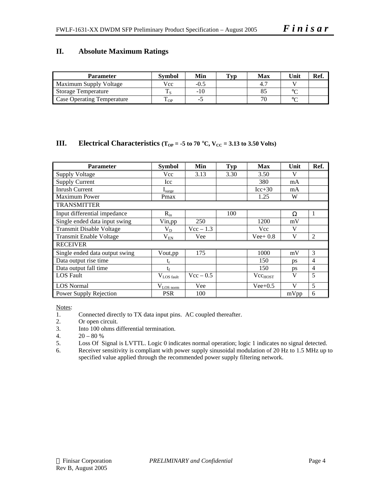#### **II. Absolute Maximum Ratings**

| <b>Parameter</b>                  | Svmbol | Min    | $\mathbf{T}_{\mathbf{V}\mathbf{D}}$ | Max | Unit | Ref. |
|-----------------------------------|--------|--------|-------------------------------------|-----|------|------|
| Maximum Supply Voltage            | Vcc    | $-0.5$ |                                     |     |      |      |
| <b>Storage Temperature</b>        | m      | -10    |                                     |     |      |      |
| <b>Case Operating Temperature</b> | OP     |        |                                     |     |      |      |

#### **III. Electrical Characteristics**  $(T_{OP} = -5 \text{ to } 70 \text{ °C}, V_{CC} = 3.13 \text{ to } 3.50 \text{ Volts})$

| <b>Parameter</b>                | <b>Symbol</b>        | Min         | Typ  | <b>Max</b>   | Unit | Ref.           |
|---------------------------------|----------------------|-------------|------|--------------|------|----------------|
| <b>Supply Voltage</b>           | Vcc                  | 3.13        | 3.30 | 3.50         | V    |                |
| <b>Supply Current</b>           | Icc                  |             |      | 380          | mA   |                |
| <b>Inrush Current</b>           | $I_{\text{surface}}$ |             |      | $Icc+30$     | mA   |                |
| <b>Maximum Power</b>            | Pmax                 |             |      | 1.25         | W    |                |
| <b>TRANSMITTER</b>              |                      |             |      |              |      |                |
| Input differential impedance    | $R_{in}$             |             | 100  |              | Ω    |                |
| Single ended data input swing   | Vin, pp              | 250         |      | 1200         | mV   |                |
| <b>Transmit Disable Voltage</b> | $\rm V_{D}$          | $Vec - 1.3$ |      | <b>Vcc</b>   | V    |                |
| <b>Transmit Enable Voltage</b>  | $V_{EN}$             | Vee         |      | $Vee+0.8$    | V    | 2              |
| <b>RECEIVER</b>                 |                      |             |      |              |      |                |
| Single ended data output swing  | Vout, pp             | 175         |      | 1000         | mV   | 3              |
| Data output rise time           | $t_{r}$              |             |      | 150          | ps   | $\overline{4}$ |
| Data output fall time           | $t_{\rm f}$          |             |      | 150          | ps   | $\overline{4}$ |
| <b>LOS</b> Fault                | $V_{LOS \, fault}$   | $Vec - 0.5$ |      | $Vec_{HOST}$ | V    | 5              |
| <b>LOS Normal</b>               | $V_{LOS\_norm}$      | Vee         |      | $Vee+0.5$    | V    | 5              |
| Power Supply Rejection          | <b>PSR</b>           | 100         |      |              | mVpp | 6              |

Notes:

2. Or open circuit.

3. Into 100 ohms differential termination.

4.  $20 - 80 %$ <br>5. Loss Of S

Loss Of Signal is LVTTL. Logic 0 indicates normal operation; logic 1 indicates no signal detected.

6. Receiver sensitivity is compliant with power supply sinusoidal modulation of 20 Hz to 1.5 MHz up to specified value applied through the recommended power supply filtering network.

<sup>1.</sup> Connected directly to TX data input pins. AC coupled thereafter.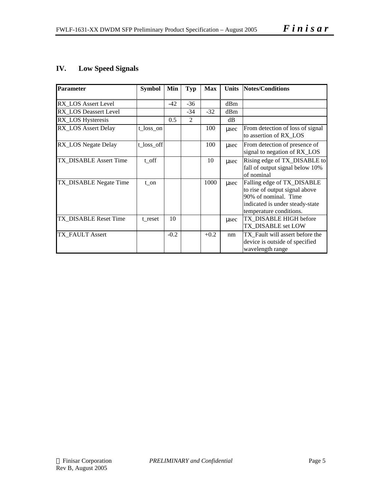# **IV. Low Speed Signals**

| <b>Parameter</b>           | <b>Symbol</b> | Min    | <b>Typ</b>     | <b>Max</b> |           | <b>Units Notes/Conditions</b>                                                                                                                      |
|----------------------------|---------------|--------|----------------|------------|-----------|----------------------------------------------------------------------------------------------------------------------------------------------------|
| <b>RX LOS Assert Level</b> |               | $-42$  | $-36$          |            | dBm       |                                                                                                                                                    |
| RX LOS Deassert Level      |               |        | $-34$          | $-32$      | dBm       |                                                                                                                                                    |
| RX_LOS Hysteresis          |               | 0.5    | $\mathfrak{D}$ |            | dB        |                                                                                                                                                    |
| RX_LOS Assert Delay        | t_loss_on     |        |                | 100        | usec      | From detection of loss of signal<br>to assertion of RX LOS                                                                                         |
| <b>RX_LOS</b> Negate Delay | t_loss_off    |        |                | 100        | usec      | From detection of presence of<br>signal to negation of RX_LOS                                                                                      |
| TX DISABLE Assert Time     | t off         |        |                | 10         | usec      | Rising edge of TX_DISABLE to<br>fall of output signal below 10%<br>of nominal                                                                      |
| TX_DISABLE Negate Time     | t on          |        |                | 1000       | $\mu$ sec | Falling edge of TX_DISABLE<br>to rise of output signal above<br>90% of nominal. Time<br>indicated is under steady-state<br>temperature conditions. |
| TX_DISABLE Reset Time      | t reset       | 10     |                |            | usec      | TX DISABLE HIGH before<br>TX DISABLE set LOW                                                                                                       |
| TX FAULT Assert            |               | $-0.2$ |                | $+0.2$     | nm        | TX Fault will assert before the<br>device is outside of specified<br>wavelength range                                                              |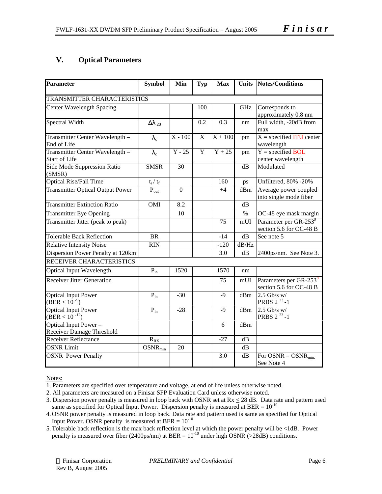# **V. Optical Parameters**

| Parameter                                               | <b>Symbol</b>            | Min       | <b>Typ</b> | <b>Max</b> | <b>Units</b> | Notes/Conditions                                              |
|---------------------------------------------------------|--------------------------|-----------|------------|------------|--------------|---------------------------------------------------------------|
| TRANSMITTER CHARACTERISTICS                             |                          |           |            |            |              |                                                               |
| <b>Center Wavelength Spacing</b>                        |                          |           | 100        |            | GHz          | Corresponds to                                                |
|                                                         |                          |           |            |            |              | approximately 0.8 nm                                          |
| Spectral Width                                          | $\Delta\lambda_{20}$     |           | 0.2        | 0.3        | nm           | Full width, -20dB from<br>max                                 |
| Transmitter Center Wavelength -<br>End of Life          | $\lambda_{\rm c}$        | $X - 100$ | X          | $X + 100$  | pm           | $X = specified ITU center$<br>wavelength                      |
| Transmitter Center Wavelength -<br><b>Start of Life</b> | $\lambda_{\rm c}$        | $Y - 25$  | Y          | $Y + 25$   | pm           | $Y = specified BOL$<br>center wavelength                      |
| Side Mode Suppression Ratio<br>(SMSR)                   | <b>SMSR</b>              | 30        |            |            | dB           | Modulated                                                     |
| <b>Optical Rise/Fall Time</b>                           | $t_r / t_f$              |           |            | 160        | ps           | Unfiltered, 80% -20%                                          |
| <b>Transmitter Optical Output Power</b>                 | $P_{out}$                | $\Omega$  |            | $+4$       | dBm          | Average power coupled<br>into single mode fiber               |
| <b>Transmitter Extinction Ratio</b>                     | OMI                      | 8.2       |            |            | dB           |                                                               |
| <b>Transmitter Eye Opening</b>                          |                          | 10        |            |            | $\%$         | OC-48 eye mask margin                                         |
| Transmitter Jitter (peak to peak)                       |                          |           |            | 75         | mUI          | Parameter per GR-253 <sup>8</sup><br>section 5.6 for OC-48 B  |
| <b>Tolerable Back Reflection</b>                        | <b>BR</b>                |           |            | $-14$      | dB           | See note 5                                                    |
| <b>Relative Intensity Noise</b>                         | <b>RIN</b>               |           |            | $-120$     | dB/Hz        |                                                               |
| Dispersion Power Penalty at 120km                       |                          |           |            | 3.0        | dB           | 2400ps/nm. See Note 3.                                        |
| RECEIVER CHARACTERISTICS                                |                          |           |            |            |              |                                                               |
| Optical Input Wavelength                                | $P_{in}$                 | 1520      |            | 1570       | nm           |                                                               |
| <b>Receiver Jitter Generation</b>                       |                          |           |            | 75         | mUI          | Parameters per GR-253 <sup>8</sup><br>section 5.6 for OC-48 B |
| <b>Optical Input Power</b><br>$(BER < 10^{-9})$         | $P_{in}$                 | $-30$     |            | $-9$       | dBm          | $2.5$ Gb/s w/<br>PRBS 2 <sup>23</sup> -1                      |
| <b>Optical Input Power</b><br>$(BER < 10^{-12})$        | $\mathbf{P}_{\text{in}}$ | $-28$     |            | $-9$       | dBm          | $2.5$ Gb/s w/<br>PRBS 2 <sup>23</sup> -1                      |
| Optical Input Power -<br>Receiver Damage Threshold      |                          |           |            | 6          | dBm          |                                                               |
| <b>Receiver Reflectance</b>                             | $R_{RX}$                 |           |            | $-27$      | dB           |                                                               |
| <b>OSNR</b> Limit                                       | $OSNR_{min}$             | 20        |            |            | dB           |                                                               |
| <b>OSNR</b> Power Penalty                               |                          |           |            | 3.0        | dB           | For $OSNR = OSNR_{min.}$<br>See Note 4                        |

Notes:

1. Parameters are specified over temperature and voltage, at end of life unless otherwise noted.

2. All parameters are measured on a Finisar SFP Evaluation Card unless otherwise noted.

- 3. Dispersion power penalty is measured in loop back with OSNR set at  $Rx \leq 28$  dB. Data rate and pattern used same as specified for Optical Input Power. Dispersion penalty is measured at BER =  $10^{-10}$
- 4. OSNR power penalty is measured in loop back. Data rate and pattern used is same as specified for Optical Input Power. OSNR penalty is measured at BER =  $10^{-10}$
- 5.Tolerable back reflection is the max back reflection level at which the power penalty will be <1dB. Power penalty is measured over fiber (2400ps/nm) at BER =  $10^{-10}$  under high OSNR (>28dB) conditions.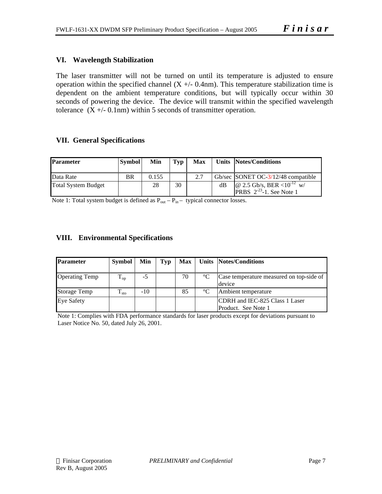#### **VI. Wavelength Stabilization**

The laser transmitter will not be turned on until its temperature is adjusted to ensure operation within the specified channel  $(X +/ - 0.4nm)$ . This temperature stabilization time is dependent on the ambient temperature conditions, but will typically occur within 30 seconds of powering the device. The device will transmit within the specified wavelength tolerance  $(X +/2 0.1nm)$  within 5 seconds of transmitter operation.

#### **VII. General Specifications**

| <b>Parameter</b>           | <b>Symbol</b> | Min   | Typ | <b>Max</b> |    | Units Notes/Conditions                                                                              |
|----------------------------|---------------|-------|-----|------------|----|-----------------------------------------------------------------------------------------------------|
| Data Rate                  | BR            | 0.155 |     | 2.7        |    | Gb/sec SONET OC-3/12/48 compatible                                                                  |
| <b>Total System Budget</b> |               | 28    | 30  |            | dB | $\left  \omega \right  2.5$ Gb/s, BER <10 <sup>-12</sup> w/<br><b>PRBS</b> $2^{-23}$ -1. See Note 1 |

Note 1: Total system budget is defined as  $P_{out} - P_{in}$  – typical connector losses.

#### **VIII. Environmental Specifications**

| <b>Parameter</b>      | <b>Symbol</b>             | Min   | <b>Typ</b> | <b>Max</b> |                   | Units Notes/Conditions                                |
|-----------------------|---------------------------|-------|------------|------------|-------------------|-------------------------------------------------------|
| <b>Operating Temp</b> | $T_{op}$                  | -5    |            | 70         | $^{\circ}{\rm C}$ | Case temperature measured on top-side of<br>device    |
| <b>Storage Temp</b>   | $\mathbf{I}_{\text{sto}}$ | $-10$ |            | 85         | $^{\circ}{\rm C}$ | Ambient temperature                                   |
| <b>Eye Safety</b>     |                           |       |            |            |                   | CDRH and IEC-825 Class 1 Laser<br>Product. See Note 1 |

Note 1: Complies with FDA performance standards for laser products except for deviations pursuant to Laser Notice No. 50, dated July 26, 2001.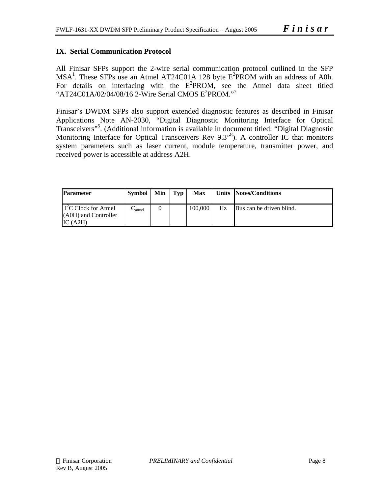#### **IX. Serial Communication Protocol**

All Finisar SFPs support the 2-wire serial communication protocol outlined in the SFP  $MSA<sup>1</sup>$ . These SFPs use an Atmel AT24C01A 128 byte  $E<sup>2</sup>$ PROM with an address of A0h. For details on interfacing with the  $E^2$ PROM, see the Atmel data sheet titled "AT24C01A/02/04/08/16 2-Wire Serial CMOS E<sup>2</sup>PROM."<sup>7</sup>

Finisar's DWDM SFPs also support extended diagnostic features as described in Finisar Applications Note AN-2030, "Digital Diagnostic Monitoring Interface for Optical Transceivers"<sup>5</sup> . (Additional information is available in document titled: "Digital Diagnostic Monitoring Interface for Optical Transceivers Rev 9.3"<sup>8</sup>). A controller IC that monitors system parameters such as laser current, module temperature, transmitter power, and received power is accessible at address A2H.

| <b>Parameter</b>                                                   | Symbol                | Min | Typ | <b>Max</b> |    | Units Notes/Conditions   |
|--------------------------------------------------------------------|-----------------------|-----|-----|------------|----|--------------------------|
| $\Gamma^2$ C Clock for Atmel<br>(A0H) and Controller<br>IC $(A2H)$ | $\mathsf{\sim}$ atmel |     |     | 100,000    | Hz | Bus can be driven blind. |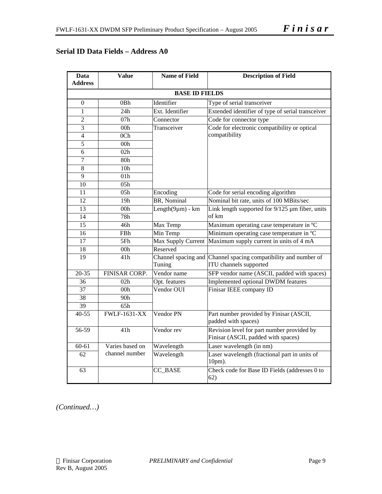| Data<br><b>Address</b> | <b>Value</b>          | <b>Name of Field</b> | <b>Description of Field</b>                                                               |  |  |  |  |  |
|------------------------|-----------------------|----------------------|-------------------------------------------------------------------------------------------|--|--|--|--|--|
|                        | <b>BASE ID FIELDS</b> |                      |                                                                                           |  |  |  |  |  |
| $\boldsymbol{0}$       | 0Bh                   | Identifier           | Type of serial transceiver                                                                |  |  |  |  |  |
| 1                      | 24h                   | Ext. Identifier      | Extended identifier of type of serial transceiver                                         |  |  |  |  |  |
| $\overline{2}$         | 07h                   | Connector            | Code for connector type                                                                   |  |  |  |  |  |
| 3                      | 00h                   | Transceiver          | Code for electronic compatibility or optical                                              |  |  |  |  |  |
| 4                      | $\overline{OCh}$      |                      | compatibility                                                                             |  |  |  |  |  |
| 5                      | 00h                   |                      |                                                                                           |  |  |  |  |  |
| 6                      | 02h                   |                      |                                                                                           |  |  |  |  |  |
| 7                      | 80h                   |                      |                                                                                           |  |  |  |  |  |
| 8                      | 10 <sub>h</sub>       |                      |                                                                                           |  |  |  |  |  |
| 9                      | 01h                   |                      |                                                                                           |  |  |  |  |  |
| 10                     | 05h                   |                      |                                                                                           |  |  |  |  |  |
| 11                     | 05h                   | Encoding             | Code for serial encoding algorithm                                                        |  |  |  |  |  |
| 12                     | 19 <sub>h</sub>       | BR, Nominal          | Nominal bit rate, units of 100 MBits/sec                                                  |  |  |  |  |  |
| 13                     | 00h                   | $Length(9µm) - km$   | Link length supported for $9/125 \mu m$ fiber, units                                      |  |  |  |  |  |
| 14                     | 78h                   |                      | of km                                                                                     |  |  |  |  |  |
| 15                     | 46h                   | Max Temp             | Maximum operating case temperature in °C                                                  |  |  |  |  |  |
| 16                     | FBh                   | Min Temp             | Minimum operating case temperature in °C                                                  |  |  |  |  |  |
| 17                     | 5Fh                   | Max Supply Current   | Maximum supply current in units of 4 mA                                                   |  |  |  |  |  |
| 18                     | 00h                   | Reserved             |                                                                                           |  |  |  |  |  |
| $\overline{19}$        | 41 h                  | Tuning               | Channel spacing and Channel spacing compatibility and number of<br>ITU channels supported |  |  |  |  |  |
| $20 - 35$              | FINISAR CORP.         | Vendor name          | SFP vendor name (ASCII, padded with spaces)                                               |  |  |  |  |  |
| 36                     | 02h                   | Opt. features        | Implemented optional DWDM features                                                        |  |  |  |  |  |
| 37                     | 00h                   | Vendor OUI           | Finisar IEEE company ID                                                                   |  |  |  |  |  |
| 38                     | 90h                   |                      |                                                                                           |  |  |  |  |  |
| 39                     | 65h                   |                      |                                                                                           |  |  |  |  |  |
| $40 - 55$              | <b>FWLF-1631-XX</b>   | Vendor PN            | Part number provided by Finisar (ASCII,<br>padded with spaces)                            |  |  |  |  |  |
| 56-59                  | 41h                   | Vendor rev           | Revision level for part number provided by<br>Finisar (ASCII, padded with spaces)         |  |  |  |  |  |
| $60 - 61$              | Varies based on       | Wavelength           | Laser wavelength (in nm)                                                                  |  |  |  |  |  |
| 62                     | channel number        | Wavelength           | Laser wavelength (fractional part in units of<br>10pm).                                   |  |  |  |  |  |
| 63                     |                       | CC_BASE              | Check code for Base ID Fields (addresses 0 to<br>62)                                      |  |  |  |  |  |

# **Serial ID Data Fields – Address A0**

*(Continued…)*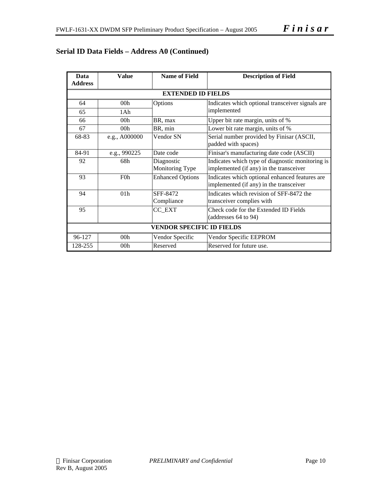| Data<br><b>Address</b> | <b>Value</b>                     | <b>Name of Field</b>          | <b>Description of Field</b>                                                                 |  |  |  |  |  |
|------------------------|----------------------------------|-------------------------------|---------------------------------------------------------------------------------------------|--|--|--|--|--|
|                        | <b>EXTENDED ID FIELDS</b>        |                               |                                                                                             |  |  |  |  |  |
| 64                     | 00 <sub>h</sub>                  | Options                       | Indicates which optional transceiver signals are                                            |  |  |  |  |  |
| 65                     | 1Ah                              |                               | implemented                                                                                 |  |  |  |  |  |
| 66                     | 00 <sub>h</sub>                  | BR, max                       | Upper bit rate margin, units of %                                                           |  |  |  |  |  |
| 67                     | 00 <sub>h</sub>                  | BR, min                       | Lower bit rate margin, units of %                                                           |  |  |  |  |  |
| 68-83                  | e.g., $A000000$                  | Vendor SN                     | Serial number provided by Finisar (ASCII,<br>padded with spaces)                            |  |  |  |  |  |
| 84-91                  | e.g., 990225                     | Date code                     | Finisar's manufacturing date code (ASCII)                                                   |  |  |  |  |  |
| 92                     | 68h                              | Diagnostic<br>Monitoring Type | Indicates which type of diagnostic monitoring is<br>implemented (if any) in the transceiver |  |  |  |  |  |
| 93                     | F <sub>0</sub> h                 | <b>Enhanced Options</b>       | Indicates which optional enhanced features are<br>implemented (if any) in the transceiver   |  |  |  |  |  |
| 94                     | 01 <sub>h</sub>                  | SFF-8472<br>Compliance        | Indicates which revision of SFF-8472 the<br>transceiver complies with                       |  |  |  |  |  |
| 95                     |                                  | CC_EXT                        | Check code for the Extended ID Fields<br>(addresses 64 to 94)                               |  |  |  |  |  |
|                        | <b>VENDOR SPECIFIC ID FIELDS</b> |                               |                                                                                             |  |  |  |  |  |
| 96-127                 | 00 <sub>h</sub>                  | Vendor Specific               | Vendor Specific EEPROM                                                                      |  |  |  |  |  |
| 128-255                | 00 <sub>h</sub>                  | Reserved                      | Reserved for future use.                                                                    |  |  |  |  |  |

# **Serial ID Data Fields – Address A0 (Continued)**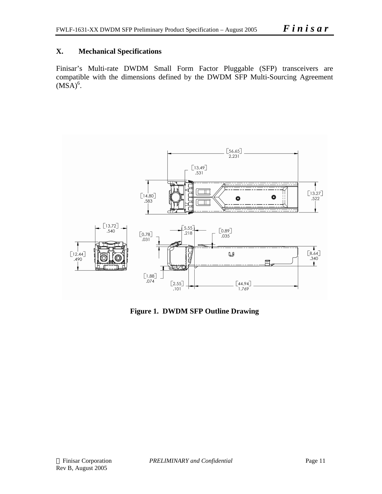# **X. Mechanical Specifications**

Finisar's Multi-rate DWDM Small Form Factor Pluggable (SFP) transceivers are compatible with the dimensions defined by the DWDM SFP Multi-Sourcing Agreement  $(MSA)^6$ .



**Figure 1. DWDM SFP Outline Drawing**